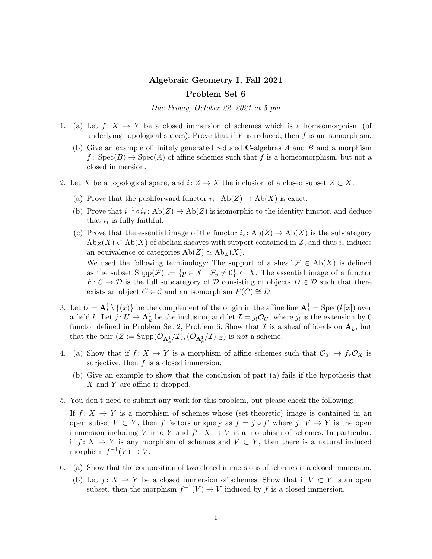## Algebraic Geometry I, Fall 2021 Problem Set 6

Due Friday, October 22, 2021 at 5 pm

- 1. (a) Let  $f: X \to Y$  be a closed immersion of schemes which is a homeomorphism (of underlying topological spaces). Prove that if  $Y$  is reduced, then  $f$  is an isomorphism.
	- (b) Give an example of finitely generated reduced C-algebras A and B and a morphism  $f: Spec(B) \rightarrow Spec(A)$  of affine schemes such that f is a homeomorphism, but not a closed immersion.
- 2. Let X be a topological space, and  $i: Z \to X$  the inclusion of a closed subset  $Z \subset X$ .
	- (a) Prove that the pushforward functor  $i_*: Ab(Z) \to Ab(X)$  is exact.
	- (b) Prove that  $i^{-1} \circ i_* \colon \text{Ab}(Z) \to \text{Ab}(Z)$  is isomorphic to the identity functor, and deduce that  $i_*$  is fully faithful.
	- (c) Prove that the essential image of the functor  $i_* \colon \text{Ab}(Z) \to \text{Ab}(X)$  is the subcategory  $\text{Ab}_Z(X) \subset \text{Ab}(X)$  of abelian sheaves with support contained in Z, and thus  $i_*$  induces an equivalence of categories  $Ab(Z) \simeq Ab_Z(X)$ .

We used the following terminology: The support of a sheaf  $\mathcal{F} \in Ab(X)$  is defined as the subset  $\text{Supp}(\mathcal{F}) := \{p \in X \mid \mathcal{F}_p \neq 0\} \subset X$ . The essential image of a functor  $F: \mathcal{C} \to \mathcal{D}$  is the full subcategory of  $\mathcal D$  consisting of objects  $D \in \mathcal{D}$  such that there exists an object  $C \in \mathcal{C}$  and an isomorphism  $F(C) \cong D$ .

- 3. Let  $U = \mathbf{A}_k^1 \setminus \{(x)\}$  be the complement of the origin in the affine line  $\mathbf{A}_k^1 = \text{Spec}(k[x])$  over a field k. Let  $j: U \to \mathbf{A}_k^1$  be the inclusion, and let  $\mathcal{I} = j_! \mathcal{O}_U$ , where  $j_!$  is the extension by 0 functor defined in Problem Set 2, Problem 6. Show that  $\mathcal I$  is a sheaf of ideals on  $\mathbf{A}_k^1$ , but that the pair  $(Z := \text{Supp}(\mathcal{O}_{\mathbf{A}_{k}^1}/\mathcal{I}), (\mathcal{O}_{\mathbf{A}_{k}^1}/\mathcal{I})|_Z)$  is *not* a scheme.
- 4. (a) Show that if  $f: X \to Y$  is a morphism of affine schemes such that  $\mathcal{O}_Y \to f_* \mathcal{O}_X$  is surjective, then  $f$  is a closed immersion.
	- (b) Give an example to show that the conclusion of part (a) fails if the hypothesis that X and Y are affine is dropped.
- 5. You don't need to submit any work for this problem, but please check the following:

If  $f: X \to Y$  is a morphism of schemes whose (set-theoretic) image is contained in an open subset  $V \subset Y$ , then f factors uniquely as  $f = j \circ f'$  where  $j: V \to Y$  is the open immersion including V into Y and  $f' : X \to V$  is a morphism of schemes. In particular, if  $f: X \to Y$  is any morphism of schemes and  $V \subset Y$ , then there is a natural induced morphism  $f^{-1}(V) \to V$ .

- 6. (a) Show that the composition of two closed immersions of schemes is a closed immersion.
	- (b) Let  $f: X \to Y$  be a closed immersion of schemes. Show that if  $V \subset Y$  is an open subset, then the morphism  $f^{-1}(V) \to V$  induced by f is a closed immersion.